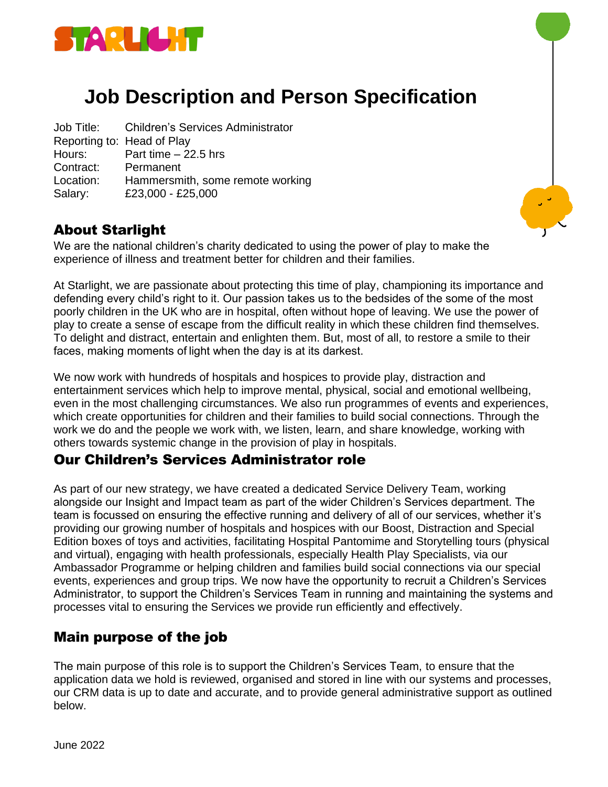

# **Job Description and Person Specification**

Job Title: Children's Services Administrator Reporting to: Head of Play Hours: Part time – 22.5 hrs Contract: Permanent Location: Hammersmith, some remote working Salary: £23,000 - £25,000

## About Starlight

We are the national children's charity dedicated to using the power of play to make the experience of illness and treatment better for children and their families.

At Starlight, we are passionate about protecting this time of play, championing its importance and defending every child's right to it. Our passion takes us to the bedsides of the some of the most poorly children in the UK who are in hospital, often without hope of leaving. We use the power of play to create a sense of escape from the difficult reality in which these children find themselves. To delight and distract, entertain and enlighten them. But, most of all, to restore a smile to their faces, making moments of light when the day is at its darkest.

We now work with hundreds of hospitals and hospices to provide play, distraction and entertainment services which help to improve mental, physical, social and emotional wellbeing, even in the most challenging circumstances. We also run programmes of events and experiences, which create opportunities for children and their families to build social connections. Through the work we do and the people we work with, we listen, learn, and share knowledge, working with others towards systemic change in the provision of play in hospitals.

#### Our Children's Services Administrator role

As part of our new strategy, we have created a dedicated Service Delivery Team, working alongside our Insight and Impact team as part of the wider Children's Services department. The team is focussed on ensuring the effective running and delivery of all of our services, whether it's providing our growing number of hospitals and hospices with our Boost, Distraction and Special Edition boxes of toys and activities, facilitating Hospital Pantomime and Storytelling tours (physical and virtual), engaging with health professionals, especially Health Play Specialists, via our Ambassador Programme or helping children and families build social connections via our special events, experiences and group trips. We now have the opportunity to recruit a Children's Services Administrator, to support the Children's Services Team in running and maintaining the systems and processes vital to ensuring the Services we provide run efficiently and effectively.

## Main purpose of the job

The main purpose of this role is to support the Children's Services Team, to ensure that the application data we hold is reviewed, organised and stored in line with our systems and processes, our CRM data is up to date and accurate, and to provide general administrative support as outlined below.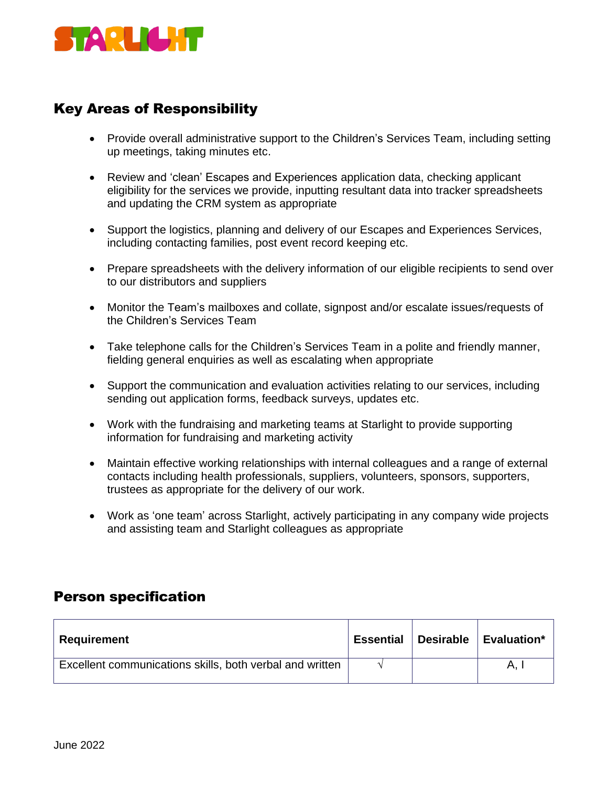

# Key Areas of Responsibility

- Provide overall administrative support to the Children's Services Team, including setting up meetings, taking minutes etc.
- Review and 'clean' Escapes and Experiences application data, checking applicant eligibility for the services we provide, inputting resultant data into tracker spreadsheets and updating the CRM system as appropriate
- Support the logistics, planning and delivery of our Escapes and Experiences Services, including contacting families, post event record keeping etc.
- Prepare spreadsheets with the delivery information of our eligible recipients to send over to our distributors and suppliers
- Monitor the Team's mailboxes and collate, signpost and/or escalate issues/requests of the Children's Services Team
- Take telephone calls for the Children's Services Team in a polite and friendly manner, fielding general enquiries as well as escalating when appropriate
- Support the communication and evaluation activities relating to our services, including sending out application forms, feedback surveys, updates etc.
- Work with the fundraising and marketing teams at Starlight to provide supporting information for fundraising and marketing activity
- Maintain effective working relationships with internal colleagues and a range of external contacts including health professionals, suppliers, volunteers, sponsors, supporters, trustees as appropriate for the delivery of our work.
- Work as 'one team' across Starlight, actively participating in any company wide projects and assisting team and Starlight colleagues as appropriate

#### Person specification

| <b>Requirement</b>                                       | <b>Essential</b> | Desirable   Evaluation* |
|----------------------------------------------------------|------------------|-------------------------|
| Excellent communications skills, both verbal and written |                  | А.                      |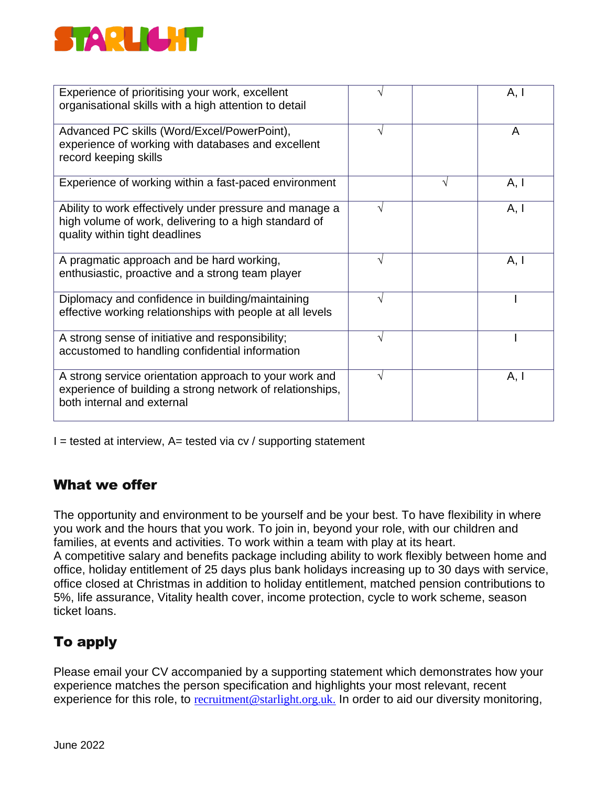

| Experience of prioritising your work, excellent<br>organisational skills with a high attention to detail                                           |   | A, I |
|----------------------------------------------------------------------------------------------------------------------------------------------------|---|------|
| Advanced PC skills (Word/Excel/PowerPoint),<br>experience of working with databases and excellent<br>record keeping skills                         | V | A    |
| Experience of working within a fast-paced environment                                                                                              |   | A, I |
| Ability to work effectively under pressure and manage a<br>high volume of work, delivering to a high standard of<br>quality within tight deadlines | V | A, I |
| A pragmatic approach and be hard working,<br>enthusiastic, proactive and a strong team player                                                      |   | A, I |
| Diplomacy and confidence in building/maintaining<br>effective working relationships with people at all levels                                      | ٦ |      |
| A strong sense of initiative and responsibility;<br>accustomed to handling confidential information                                                | N |      |
| A strong service orientation approach to your work and<br>experience of building a strong network of relationships,<br>both internal and external  | V | A, I |

 $I =$  tested at interview, A= tested via cv / supporting statement

#### What we offer

The opportunity and environment to be yourself and be your best. To have flexibility in where you work and the hours that you work. To join in, beyond your role, with our children and families, at events and activities. To work within a team with play at its heart. A competitive salary and benefits package including ability to work flexibly between home and office, holiday entitlement of 25 days plus bank holidays increasing up to 30 days with service, office closed at Christmas in addition to holiday entitlement, matched pension contributions to 5%, life assurance, Vitality health cover, income protection, cycle to work scheme, season ticket loans.

# To apply

Please email your CV accompanied by a supporting statement which demonstrates how your experience matches the person specification and highlights your most relevant, recent experience for this role, to [recruitment@starlight.org.uk.](mailto:recruitment@starlight.org.uk) In order to aid our diversity monitoring,